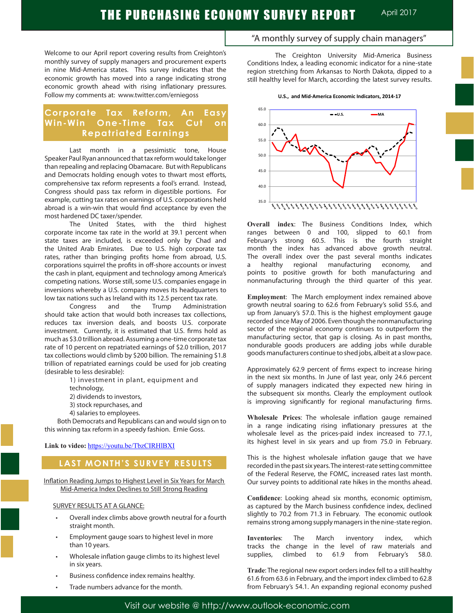Welcome to our April report covering results from Creighton's monthly survey of supply managers and procurement experts in nine Mid-America states. This survey indicates that the economic growth has moved into a range indicating strong economic growth ahead with rising inflationary pressures. Follow my comments at: www.twitter.com/erniegoss

# **Corporate Tax Reform, An Easy Win-Win One-Time Tax Cut on Repatriated Earnings**

Last month in a pessimistic tone, House Speaker Paul Ryan announced that tax reform would take longer than repealing and replacing Obamacare. But with Republicans and Democrats holding enough votes to thwart most efforts, comprehensive tax reform represents a fool's errand. Instead, Congress should pass tax reform in digestible portions. For example, cutting tax rates on earnings of U.S. corporations held abroad is a win-win that would find acceptance by even the most hardened DC taxer/spender.

The United States, with the third highest corporate income tax rate in the world at 39.1 percent when state taxes are included, is exceeded only by Chad and the United Arab Emirates. Due to U.S. high corporate tax rates, rather than bringing profits home from abroad, U.S. corporations squirrel the profits in off-shore accounts or invest the cash in plant, equipment and technology among America's competing nations. Worse still, some U.S. companies engage in inversions whereby a U.S. company moves its headquarters to low tax nations such as Ireland with its 12.5 percent tax rate.

Congress and the Trump Administration should take action that would both increases tax collections, reduces tax inversion deals, and boosts U.S. corporate investment. Currently, it is estimated that U.S. firms hold as much as \$3.0 trillion abroad. Assuming a one-time corporate tax rate of 10 percent on repatriated earnings of \$2.0 trillion, 2017 tax collections would climb by \$200 billion. The remaining \$1.8 trillion of repatriated earnings could be used for job creating (desirable to less desirable):

1) investment in plant, equipment and

technology,

- 2) dividends to investors,
- 3) stock repurchases, and
- 4) salaries to employees.

 Both Democrats and Republicans can and would sign on to this winning tax reform in a speedy fashion. Ernie Goss.

## **Link to video:** https://youtu.be/TbzCIRHlBXI

# **LAST MONTH'S SURVEY RESULTS**

Inflation Reading Jumps to Highest Level in Six Years for March Mid-America Index Declines to Still Strong Reading

## SURVEY RESULTS AT A GLANCE:

- Overall index climbs above growth neutral for a fourth straight month.
- Employment gauge soars to highest level in more than 10 years.
- Wholesale inflation gauge climbs to its highest level in six years.
- Business confidence index remains healthy.
- Trade numbers advance for the month.

"A monthly survey of supply chain managers"

The Creighton University Mid-America Business Conditions Index, a leading economic indicator for a nine-state region stretching from Arkansas to North Dakota, dipped to a still healthy level for March, according the latest survey results.

**U.S., and Mid-America Economic Indicators, 2014-17**



**Overall index**: The Business Conditions Index, which ranges between 0 and 100, slipped to 60.1 from February's strong 60.5. This is the fourth straight month the index has advanced above growth neutral. The overall index over the past several months indicates a healthy regional manufacturing economy, and points to positive growth for both manufacturing and nonmanufacturing through the third quarter of this year.

**Employment**: The March employment index remained above growth neutral soaring to 62.6 from February's solid 55.6, and up from January's 57.0. This is the highest employment gauge recorded since May of 2006. Even though the nonmanufacturing sector of the regional economy continues to outperform the manufacturing sector, that gap is closing. As in past months, nondurable goods producers are adding jobs while durable goods manufacturers continue to shed jobs, albeit at a slow pace.

Approximately 62.9 percent of firms expect to increase hiring in the next six months. In June of last year, only 24.6 percent of supply managers indicated they expected new hiring in the subsequent six months. Clearly the employment outlook is improving significantly for regional manufacturing firms.

**Wholesale Prices**: The wholesale inflation gauge remained in a range indicating rising inflationary pressures at the wholesale level as the prices-paid index increased to 77.1, its highest level in six years and up from 75.0 in February.

This is the highest wholesale inflation gauge that we have recorded in the past six years. The interest-rate setting committee of the Federal Reserve, the FOMC, increased rates last month. Our survey points to additional rate hikes in the months ahead.

**Confidence**: Looking ahead six months, economic optimism, as captured by the March business confidence index, declined slightly to 70.2 from 71.3 in February. The economic outlook remains strong among supply managers in the nine-state region.

**Inventories**: The March inventory index, which tracks the change in the level of raw materials and supplies, climbed to 61.9 from February's 58.0.

**Trade**: The regional new export orders index fell to a still healthy 61.6 from 63.6 in February, and the import index climbed to 62.8 from February's 54.1. An expanding regional economy pushed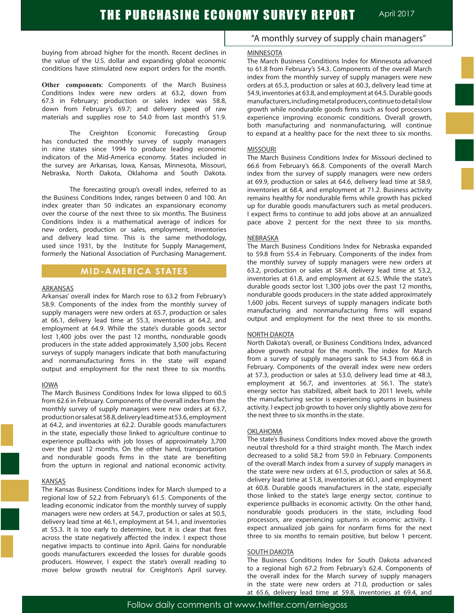buying from abroad higher for the month. Recent declines in the value of the U.S. dollar and expanding global economic conditions have stimulated new export orders for the month.

**Other components**: Components of the March Business Conditions Index were new orders at 63.2, down from 67.3 in February; production or sales index was 58.8, down from February's 69.7; and delivery speed of raw materials and supplies rose to 54.0 from last month's 51.9.

The Creighton Economic Forecasting Group has conducted the monthly survey of supply managers in nine states since 1994 to produce leading economic indicators of the Mid-America economy. States included in the survey are Arkansas, Iowa, Kansas, Minnesota, Missouri, Nebraska, North Dakota, Oklahoma and South Dakota.

The forecasting group's overall index, referred to as the Business Conditions Index, ranges between 0 and 100. An index greater than 50 indicates an expansionary economy over the course of the next three to six months. The Business Conditions Index is a mathematical average of indices for new orders, production or sales, employment, inventories and delivery lead time. This is the same methodology, used since 1931, by the Institute for Supply Management, formerly the National Association of Purchasing Management.

# **MID-AMERICA STATES**

### ARKANSAS

Arkansas' overall index for March rose to 63.2 from February's 58.9. Components of the index from the monthly survey of supply managers were new orders at 65.7, production or sales at 66.1, delivery lead time at 55.3, inventories at 64.2, and employment at 64.9. While the state's durable goods sector lost 1,400 jobs over the past 12 months, nondurable goods producers in the state added approximately 3,500 jobs. Recent surveys of supply managers indicate that both manufacturing and nonmanufacturing firms in the state will expand output and employment for the next three to six months.

## IOWA

The March Business Conditions Index for Iowa slipped to 60.5 from 62.6 in February. Components of the overall index from the monthly survey of supply managers were new orders at 63.7, production or sales at 58.8, delivery lead time at 53.6, employment at 64.2, and inventories at 62.2. Durable goods manufacturers in the state, especially those linked to agriculture continue to experience pullbacks with job losses of approximately 3,700 over the past 12 months. On the other hand, transportation and nondurable goods firms in the state are benefiting from the upturn in regional and national economic activity.

## KANSAS

The Kansas Business Conditions Index for March slumped to a regional low of 52.2 from February's 61.5. Components of the leading economic indicator from the monthly survey of supply managers were new orders at 54.7, production or sales at 50.5, delivery lead time at 46.1, employment at 54.1, and inventories at 55.3. It is too early to determine, but it is clear that fires across the state negatively affected the index. I expect those negative impacts to continue into April. Gains for nondurable goods manufacturers exceeded the losses for durable goods producers. However, I expect the state's overall reading to move below growth neutral for Creighton's April survey.

# "A monthly survey of supply chain managers"

#### MINNESOTA

The March Business Conditions Index for Minnesota advanced to 61.8 from February's 54.3. Components of the overall March index from the monthly survey of supply managers were new orders at 65.3, production or sales at 60.3, delivery lead time at 54.9, inventories at 63.8, and employment at 64.5. Durable goods manufacturers, including metal producers, continue to detail slow growth while nondurable goods firms such as food processors experience improving economic conditions. Overall growth, both manufacturing and nonmanufacturing, will continue to expand at a healthy pace for the next three to six months.

#### **MISSOURI**

The March Business Conditions Index for Missouri declined to 66.6 from February's 66.8. Components of the overall March index from the survey of supply managers were new orders at 69.9, production or sales at 64.6, delivery lead time at 58.9, inventories at 68.4, and employment at 71.2. Business activity remains healthy for nondurable firms while growth has picked up for durable goods manufacturers such as metal producers. I expect firms to continue to add jobs above at an annualized pace above 2 percent for the next three to six months.

#### NEBRASKA

The March Business Conditions Index for Nebraska expanded to 59.8 from 55.4 in February. Components of the index from the monthly survey of supply managers were new orders at 63.2, production or sales at 58.4, delivery lead time at 53.2, inventories at 61.8, and employment at 62.5. While the state's durable goods sector lost 1,300 jobs over the past 12 months, nondurable goods producers in the state added approximately 1,600 jobs. Recent surveys of supply managers indicate both manufacturing and nonmanufacturing firms will expand output and employment for the next three to six months.

#### NORTH DAKOTA

North Dakota's overall, or Business Conditions Index, advanced above growth neutral for the month. The index for March from a survey of supply managers sank to 54.3 from 66.8 in February. Components of the overall index were new orders at 57.3, production or sales at 53.0, delivery lead time at 48.3, employment at 56.7, and inventories at 56.1. The state's energy sector has stabilized, albeit back to 2011 levels, while the manufacturing sector is experiencing upturns in business activity. I expect job growth to hover only slightly above zero for the next three to six months in the state.

#### OKLAHOMA

The state's Business Conditions Index moved above the growth neutral threshold for a third straight month. The March index decreased to a solid 58.2 from 59.0 in February. Components of the overall March index from a survey of supply managers in the state were new orders at 61.5, production or sales at 56.8, delivery lead time at 51.8, inventories at 60.1, and employment at 60.8. Durable goods manufacturers in the state, especially those linked to the state's large energy sector, continue to experience pullbacks in economic activity. On the other hand, nondurable goods producers in the state, including food processors, are experiencing upturns in economic activity. I expect annualized job gains for nonfarm firms for the next three to six months to remain positive, but below 1 percent.

#### SOUTH DAKOTA

The Business Conditions Index for South Dakota advanced to a regional high 67.2 from February's 62.4. Components of the overall index for the March survey of supply managers in the state were new orders at 71.0, production or sales at 65.6, delivery lead time at 59.8, inventories at 69.4, and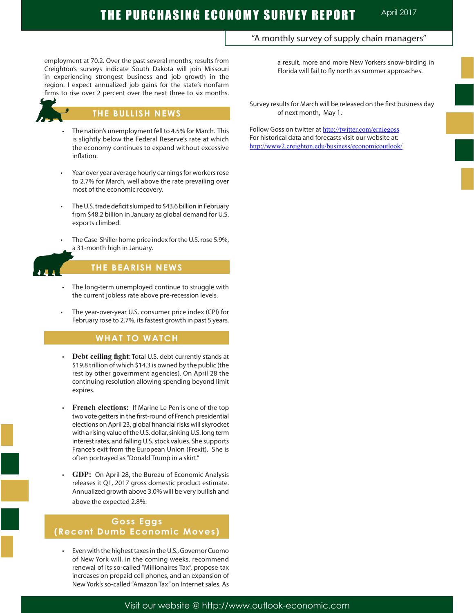employment at 70.2. Over the past several months, results from Creighton's surveys indicate South Dakota will join Missouri in experiencing strongest business and job growth in the region. I expect annualized job gains for the state's nonfarm firms to rise over 2 percent over the next three to six months.



## **THE BULLISH NEWS**

- The nation's unemployment fell to 4.5% for March. This is slightly below the Federal Reserve's rate at which the economy continues to expand without excessive inflation.
- Year over year average hourly earnings for workers rose to 2.7% for March, well above the rate prevailing over most of the economic recovery.
- The U.S. trade deficit slumped to \$43.6 billion in February from \$48.2 billion in January as global demand for U.S. exports climbed.
- The Case-Shiller home price index for the U.S. rose 5.9%, a 31-month high in January.



Ī

## **THE BEARISH NEWS**

- The long-term unemployed continue to struggle with the current jobless rate above pre-recession levels.
- The year-over-year U.S. consumer price index (CPI) for February rose to 2.7%, its fastest growth in past 5 years.

## **WHAT TO WATCH**

- **Debt ceiling fight:** Total U.S. debt currently stands at \$19.8 trillion of which \$14.3 is owned by the public (the rest by other government agencies). On April 28 the continuing resolution allowing spending beyond limit expires.
- **French elections:** If Marine Le Pen is one of the top two vote getters in the first-round of French presidential elections on April 23, global financial risks will skyrocket with a rising value of the U.S. dollar, sinking U.S. long term interest rates, and falling U.S. stock values. She supports France's exit from the European Union (Frexit). She is often portrayed as "Donald Trump in a skirt."
- GDP: On April 28, the Bureau of Economic Analysis releases it Q1, 2017 gross domestic product estimate. Annualized growth above 3.0% will be very bullish and above the expected 2.8%.

# **Goss Eggs (Recent Dumb Economic Moves)**

Even with the highest taxes in the U.S., Governor Cuomo of New York will, in the coming weeks, recommend renewal of its so-called "Millionaires Tax", propose tax increases on prepaid cell phones, and an expansion of New York's so-called "Amazon Tax" on Internet sales. As a result, more and more New Yorkers snow-birding in Florida will fail to fly north as summer approaches.

Survey results for March will be released on the first business day of next month, May 1.

"A monthly survey of supply chain managers"

Follow Goss on twitter at http://twitter.com/erniegoss For historical data and forecasts visit our website at: http://www2.creighton.edu/business/economicoutlook/